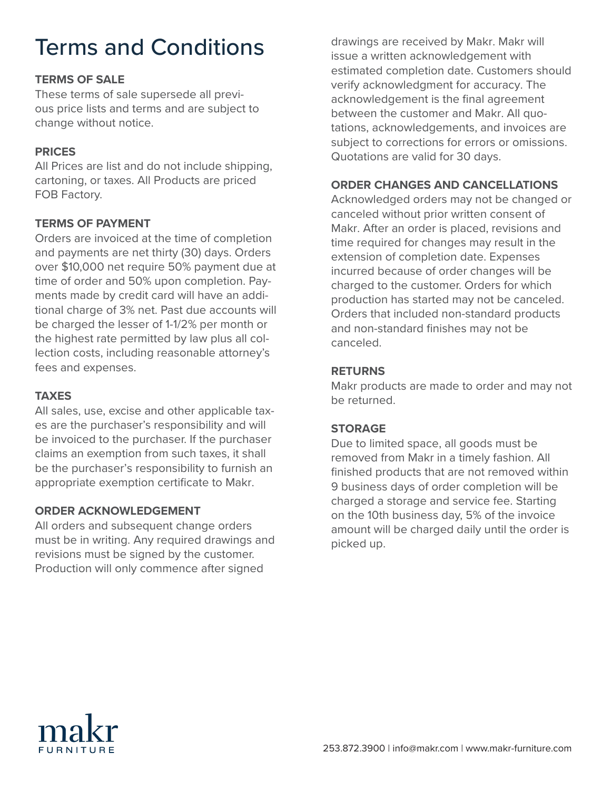# Terms and Conditions

#### **TERMS OF SALE**

These terms of sale supersede all previous price lists and terms and are subject to change without notice.

#### **PRICES**

All Prices are list and do not include shipping, cartoning, or taxes. All Products are priced FOB Factory.

#### **TERMS OF PAYMENT**

Orders are invoiced at the time of completion and payments are net thirty (30) days. Orders over \$10,000 net require 50% payment due at time of order and 50% upon completion. Payments made by credit card will have an additional charge of 3% net. Past due accounts will be charged the lesser of 1-1/2% per month or the highest rate permitted by law plus all collection costs, including reasonable attorney's fees and expenses.

#### **TAXES**

All sales, use, excise and other applicable taxes are the purchaser's responsibility and will be invoiced to the purchaser. If the purchaser claims an exemption from such taxes, it shall be the purchaser's responsibility to furnish an appropriate exemption certificate to Makr.

### **ORDER ACKNOWLEDGEMENT**

All orders and subsequent change orders must be in writing. Any required drawings and revisions must be signed by the customer. Production will only commence after signed

drawings are received by Makr. Makr will issue a written acknowledgement with estimated completion date. Customers should verify acknowledgment for accuracy. The acknowledgement is the final agreement between the customer and Makr. All quotations, acknowledgements, and invoices are subject to corrections for errors or omissions. Quotations are valid for 30 days.

#### **ORDER CHANGES AND CANCELLATIONS**

Acknowledged orders may not be changed or canceled without prior written consent of Makr. After an order is placed, revisions and time required for changes may result in the extension of completion date. Expenses incurred because of order changes will be charged to the customer. Orders for which production has started may not be canceled. Orders that included non-standard products and non-standard finishes may not be canceled.

#### **RETURNS**

Makr products are made to order and may not be returned.

#### **STORAGE**

Due to limited space, all goods must be removed from Makr in a timely fashion. All finished products that are not removed within 9 business days of order completion will be charged a storage and service fee. Starting on the 10th business day, 5% of the invoice amount will be charged daily until the order is picked up.

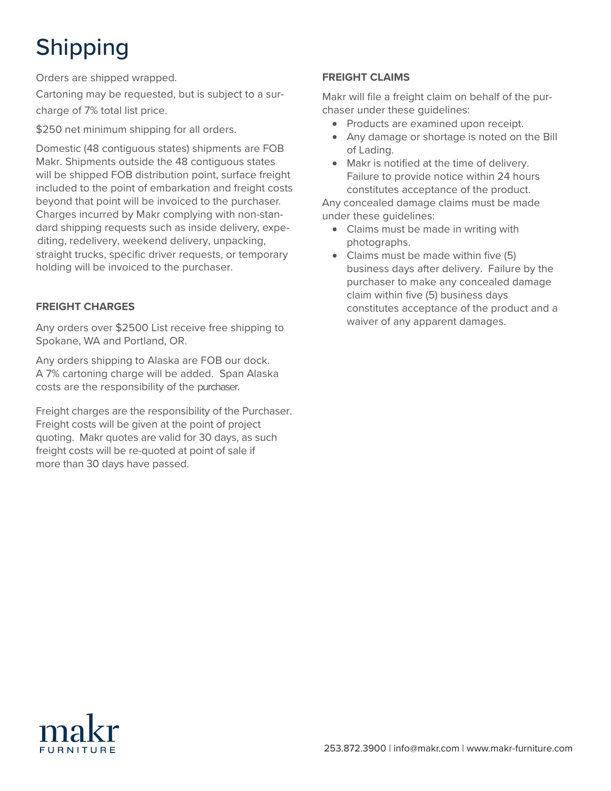# Shipping

Orders are shipped wrapped.

Cartoning may be requested, but is subject to a surcharge of 7% total list price.

\$250 net minimum shipping for all orders.

Shipping Makr. Shipments outside the 48 contiguous states will be shipped FOB distribution point, surface freight beyond that point will be invoiced to the purchaser. beyond that point will be invoiced to the parenase.<br>Charges incurred by Makr complying with non-standard shipping requests such as inside delivery, expediting, redelivery, weekend delivery, unpacking, straight trucks, specific driver requests, or temporary holding will be invoiced to the purchaser. to the point of embarkation and free point of embarkation and free point of embarkation  $\mathcal{L}_1$ Domestic (48 contiguous states) shipments are FOB included to the point of embarkation and freight costs

#### such as inside delivery, redelivery, redelivery, redelivery, weekendig, redelivery, weekendig, redelivery, we **FREIGHT CHARGES**

Any orders over \$2500 List receive free shipping to Spokane, WA and Portland, OR.

Any orders shipping to Alaska are FOB our dock. A 7% cartoning charge will be added. Span Alaska Zones are based on disembarkation point. Any orders costs are the responsibility of the purchaser.

are the recononcibility of the Durchaser Freight charges are the responsibility of the Purchaser. quoting. Makr quotes are valid for 30 days, as such freight costs will be re-quoted at point of sale if more than 30 days have passed. Freight costs will be given at the point of project

#### **FREIGHT CLAIMS**

Makr will file a freight claim on behalf of the purchaser under these guidelines:

- Products are examined upon receipt.
- Any damage or shortage is noted on the Bill of Lading.
- Failure to provide notice within 24 hours constitutes acceptance of the product. • Makr is notified at the time of delivery.

Any concealed damage claims must be made way conceared damage of

- Claims must be made in writing with photographs.
- Mississippi, New Hampshire, New Jersey, New York, North • Claims must be made within five (5) business days after delivery. Failure by the claim within five (5) business days constitutes acceptance of the product and a waiver of any apparent damages. purchaser to make any concealed damage